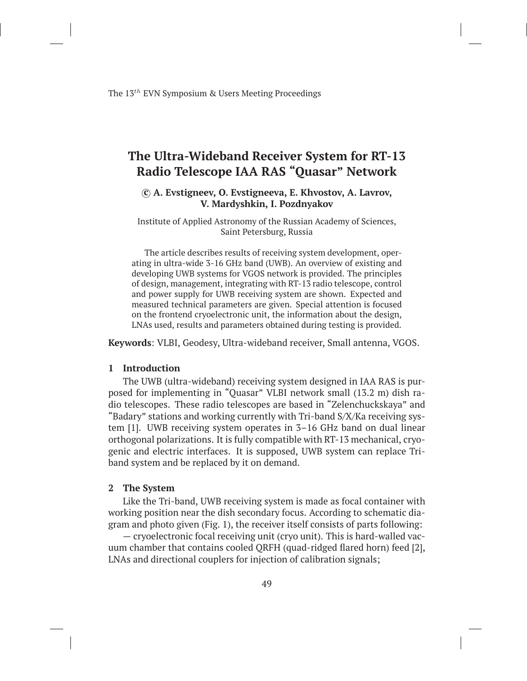The 13*th* EVN Symposium & Users Meeting Proceedings

# **The Ultra-Wideband Receiver System for RT-13 Radio Telescope IAA RAS "Quasar" Network**

# *⃝***c A. Evstigneev, O. Evstigneeva, E. Khvostov, A. Lavrov, V. Mardyshkin, I. Pozdnyakov**

Institute of Applied Astronomy of the Russian Academy of Sciences, Saint Petersburg, Russia

The article describes results of receiving system development, operating in ultra-wide 3-16 GHz band (UWB). An overview of existing and developing UWB systems for VGOS network is provided. The principles of design, management, integrating with RT-13 radio telescope, control and power supply for UWB receiving system are shown. Expected and measured technical parameters are given. Special attention is focused on the frontend cryoelectronic unit, the information about the design, LNAs used, results and parameters obtained during testing is provided.

**Keywords**: VLBI, Geodesy, Ultra-wideband receiver, Small antenna, VGOS.

# **1 Introduction**

The UWB (ultra-wideband) receiving system designed in IAA RAS is purposed for implementing in "Quasar" VLBI network small (13.2 m) dish radio telescopes. These radio telescopes are based in "Zelenchuckskaya" and "Badary" stations and working currently with Tri-band S/X/Ka receiving system [1]. UWB receiving system operates in 3–16 GHz band on dual linear orthogonal polarizations. It is fully compatible with RT-13 mechanical, cryogenic and electric interfaces. It is supposed, UWB system can replace Triband system and be replaced by it on demand.

#### **2 The System**

Like the Tri-band, UWB receiving system is made as focal container with working position near the dish secondary focus. According to schematic diagram and photo given (Fig. 1), the receiver itself consists of parts following:

— cryoelectronic focal receiving unit (cryo unit). This is hard-walled vacuum chamber that contains cooled QRFH (quad-ridged flared horn) feed [2], LNAs and directional couplers for injection of calibration signals;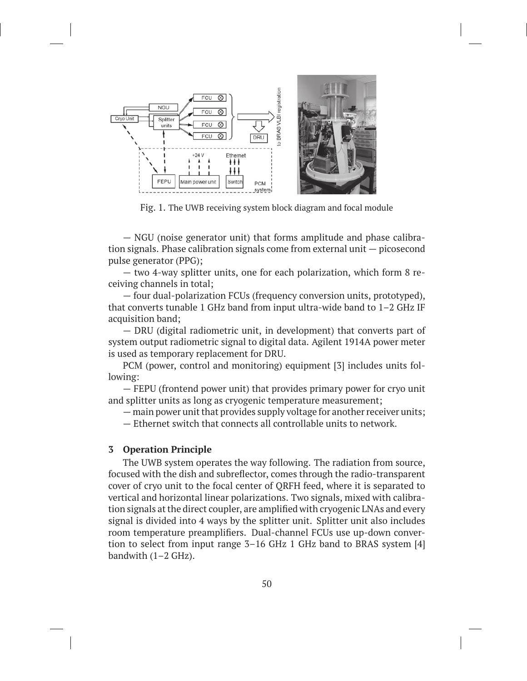

Fig. 1. The UWB receiving system block diagram and focal module

— NGU (noise generator unit) that forms amplitude and phase calibration signals. Phase calibration signals come from external unit — picosecond pulse generator (PPG);

— two 4-way splitter units, one for each polarization, which form 8 receiving channels in total;

— four dual-polarization FCUs (frequency conversion units, prototyped), that converts tunable 1 GHz band from input ultra-wide band to 1–2 GHz IF acquisition band;

— DRU (digital radiometric unit, in development) that converts part of system output radiometric signal to digital data. Agilent 1914A power meter is used as temporary replacement for DRU.

PCM (power, control and monitoring) equipment [3] includes units following:

— FEPU (frontend power unit) that provides primary power for cryo unit and splitter units as long as cryogenic temperature measurement;

— main power unit that provides supply voltage for another receiver units;

— Ethernet switch that connects all controllable units to network.

#### **3 Operation Principle**

The UWB system operates the way following. The radiation from source, focused with the dish and subreflector, comes through the radio-transparent cover of cryo unit to the focal center of QRFH feed, where it is separated to vertical and horizontal linear polarizations. Two signals, mixed with calibration signals at the direct coupler, are amplified with cryogenic LNAs and every signal is divided into 4 ways by the splitter unit. Splitter unit also includes room temperature preamplifiers. Dual-channel FCUs use up-down convertion to select from input range 3–16 GHz 1 GHz band to BRAS system [4] bandwith  $(1–2 \text{ GHz})$ .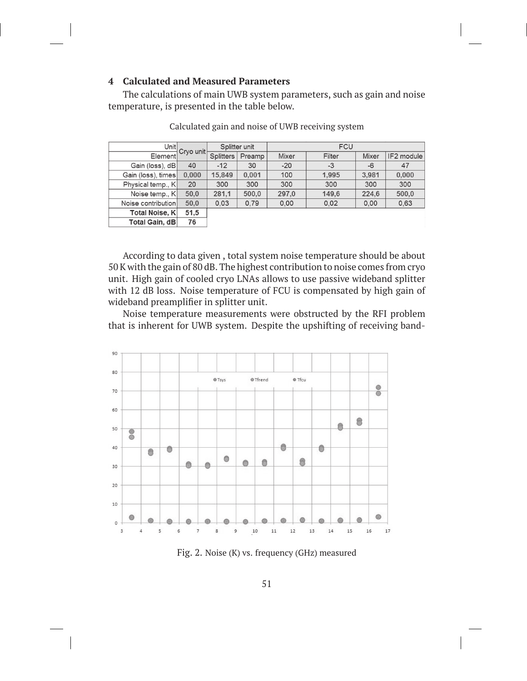# **4 Calculated and Measured Parameters**

The calculations of main UWB system parameters, such as gain and noise temperature, is presented in the table below.

| Unit                  | Cryo unit | Splitter unit    |        | <b>FCU</b> |        |       |            |
|-----------------------|-----------|------------------|--------|------------|--------|-------|------------|
| Element               |           | <b>Splitters</b> | Preamp | Mixer      | Filter | Mixer | IF2 module |
| Gain (loss), dB       | 40        | $-12$            | 30     | $-20$      | $-3$   | $-6$  | 47         |
| Gain (loss), times    | 0,000     | 15,849           | 0.001  | 100        | 1,995  | 3,981 | 0.000      |
| Physical temp., K     | 20        | 300              | 300    | 300        | 300    | 300   | 300        |
| Noise temp., K        | 50.0      | 281,1            | 500,0  | 297.0      | 149,6  | 224,6 | 500,0      |
| Noise contribution    | 50.0      | 0.03             | 0.79   | 0.00       | 0.02   | 0.00  | 0,63       |
| <b>Total Noise, K</b> | 51,5      |                  |        |            |        |       |            |
| Total Gain, dB        | 76        |                  |        |            |        |       |            |

Calculated gain and noise of UWB receiving system

According to data given , total system noise temperature should be about 50 K with the gain of 80 dB. The highest contribution to noise comes from cryo unit. High gain of cooled cryo LNAs allows to use passive wideband splitter with 12 dB loss. Noise temperature of FCU is compensated by high gain of wideband preamplifier in splitter unit.

Noise temperature measurements were obstructed by the RFI problem that is inherent for UWB system. Despite the upshifting of receiving band-



Fig. 2. Noise (K) vs. frequency (GHz) measured